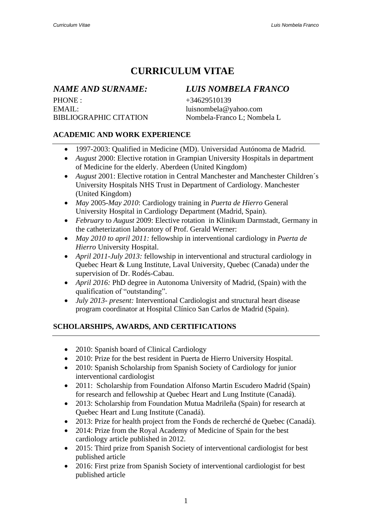# **CURRICULUM VITAE**

PHONE : +34629510139 EMAIL: [luisnombela@yahoo.com](mailto:luisnombela@yahoo.com)

## *NAME AND SURNAME: LUIS NOMBELA FRANCO*

BIBLIOGRAPHIC CITATION Nombela-Franco L; Nombela L

### **ACADEMIC AND WORK EXPERIENCE**

- 1997-2003: Qualified in Medicine (MD). Universidad Autónoma de Madrid.
- *August* 2000: Elective rotation in Grampian University Hospitals in department of Medicine for the elderly. Aberdeen (United Kingdom)
- *August* 2001: Elective rotation in Central Manchester and Manchester Children's University Hospitals NHS Trust in Department of Cardiology. Manchester (United Kingdom)
- *May* 2005-*May 2010*: Cardiology training in *Puerta de Hierro* General University Hospital in Cardiology Department (Madrid, Spain).
- *February* to *August* 2009: Elective rotation in Klinikum Darmstadt, Germany in the catheterization laboratory of Prof. Gerald Werner:
- *May 2010 to april 2011:* fellowship in interventional cardiology in *Puerta de Hierro* University Hospital.
- *April 2011-July 2013:* fellowship in interventional and structural cardiology in Quebec Heart & Lung Institute, Laval University, Quebec (Canada) under the supervision of Dr. Rodés-Cabau.
- *April 2016:* PhD degree in Autonoma University of Madrid, (Spain) with the qualification of "outstanding".
- *July 2013- present:* Interventional Cardiologist and structural heart disease program coordinator at Hospital Clínico San Carlos de Madrid (Spain).

### **SCHOLARSHIPS, AWARDS, AND CERTIFICATIONS**

- 2010: Spanish board of Clinical Cardiology
- 2010: Prize for the best resident in Puerta de Hierro University Hospital.
- 2010: Spanish Scholarship from Spanish Society of Cardiology for junior interventional cardiologist
- 2011: Scholarship from Foundation Alfonso Martin Escudero Madrid (Spain) for research and fellowship at Quebec Heart and Lung Institute (Canadá).
- 2013: Scholarship from Foundation Mutua Madrileña (Spain) for research at Quebec Heart and Lung Institute (Canadá).
- 2013: Prize for health project from the Fonds de recherché de Quebec (Canadá).
- 2014: Prize from the Royal Academy of Medicine of Spain for the best cardiology article published in 2012.
- 2015: Third prize from Spanish Society of interventional cardiologist for best published article
- 2016: First prize from Spanish Society of interventional cardiologist for best published article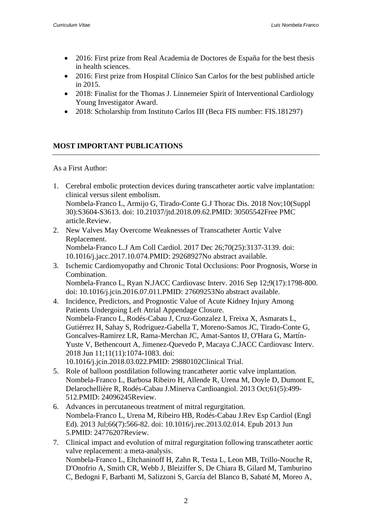- 2016: First prize from Real Academia de Doctores de España for the best thesis in health sciences.
- 2016: First prize from Hospital Clínico San Carlos for the best published article in 2015.
- 2018: Finalist for the Thomas J. Linnemeier Spirit of Interventional Cardiology Young Investigator Award.
- 2018: Scholarship from Instituto Carlos III (Beca FIS number: FIS.181297)

#### **MOST IMPORTANT PUBLICATIONS**

As a First Author:

- 1. [Cerebral embolic protection devices during transcatheter aortic valve implantation:](https://pubmed.ncbi.nlm.nih.gov/30505542/)  [clinical versus silent embolism.](https://pubmed.ncbi.nlm.nih.gov/30505542/) Nombela-Franco L, Armijo G, Tirado-Conte G.J Thorac Dis. 2018 Nov;10(Suppl 30):S3604-S3613. doi: 10.21037/jtd.2018.09.62.PMID: 30505542Free PMC article.Review.
- 2. [New Valves May Overcome Weaknesses of Transcatheter Aortic Valve](https://pubmed.ncbi.nlm.nih.gov/29268927/)  [Replacement.](https://pubmed.ncbi.nlm.nih.gov/29268927/) Nombela-Franco L.J Am Coll Cardiol. 2017 Dec 26;70(25):3137-3139. doi: 10.1016/j.jacc.2017.10.074.PMID: 29268927No abstract available.
- 3. Ischemic Cardiomyopathy and Chronic [Total Occlusions: Poor Prognosis, Worse in](https://pubmed.ncbi.nlm.nih.gov/27609253/)  [Combination.](https://pubmed.ncbi.nlm.nih.gov/27609253/) Nombela-Franco L, Ryan N.JACC Cardiovasc Interv. 2016 Sep 12;9(17):1798-800. doi: 10.1016/j.jcin.2016.07.011.PMID: 27609253No abstract available.
- 4. [Incidence, Predictors, and Prognostic](https://pubmed.ncbi.nlm.nih.gov/29880102/) Value of Acute Kidney Injury Among [Patients Undergoing Left](https://pubmed.ncbi.nlm.nih.gov/29880102/) Atrial Appendage Closure. Nombela-Franco L, Rodés-Cabau J, Cruz-Gonzalez I, Freixa X, Asmarats L, Gutiérrez H, Sahay S, Rodriguez-Gabella T, Moreno-Samos JC, Tirado-Conte G, Goncalves-Ramirez LR, Rama-Merchan JC, Amat-Santos IJ, O'Hara G, Martín-Yuste V, Bethencourt A, Jimenez-Quevedo P, Macaya C.JACC Cardiovasc Interv. 2018 Jun 11;11(11):1074-1083. doi: 10.1016/j.jcin.2018.03.022.PMID: 29880102Clinical Trial.
- 5. [Role of balloon postdilation following trancatheter aortic valve implantation.](https://pubmed.ncbi.nlm.nih.gov/24096245/) Nombela-Franco L, Barbosa Ribeiro H, Allende R, Urena M, Doyle D, Dumont E, Delarochellière R, Rodés-Cabau J.Minerva Cardioangiol. 2013 Oct;61(5):499- 512.PMID: 24096245Review.
- 6. [Advances in percutaneous treatment of mitral regurgitation.](https://pubmed.ncbi.nlm.nih.gov/24776207/) Nombela-Franco L, Urena M, Ribeiro HB, Rodés-Cabau J.Rev Esp Cardiol (Engl Ed). 2013 Jul;66(7):566-82. doi: 10.1016/j.rec.2013.02.014. Epub 2013 Jun 5.PMID: 24776207Review.
- 7. [Clinical impact and evolution of mitral regurgitation following transcatheter aortic](https://pubmed.ncbi.nlm.nih.gov/26060121/)  [valve replacement: a meta-analysis.](https://pubmed.ncbi.nlm.nih.gov/26060121/) Nombela-Franco L, Eltchaninoff H, Zahn R, Testa L, Leon MB, Trillo-Nouche R, D'Onofrio A, Smith CR, Webb J, Bleiziffer S, De Chiara B, Gilard M, Tamburino C, Bedogni F, Barbanti M, Salizzoni S, García del Blanco B, Sabaté M, Moreo A,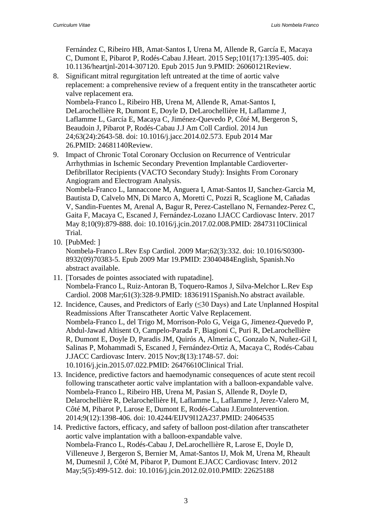Fernández C, Ribeiro HB, Amat-Santos I, Urena M, Allende R, García E, Macaya C, Dumont E, Pibarot P, Rodés-Cabau J.Heart. 2015 Sep;101(17):1395-405. doi: 10.1136/heartjnl-2014-307120. Epub 2015 Jun 9.PMID: 26060121Review.

8. [Significant mitral regurgitation left untreated at the time of aortic valve](https://pubmed.ncbi.nlm.nih.gov/24681140/)  [replacement: a comprehensive review of a frequent entity in the transcatheter aortic](https://pubmed.ncbi.nlm.nih.gov/24681140/)  [valve replacement era.](https://pubmed.ncbi.nlm.nih.gov/24681140/) Nombela-Franco L, Ribeiro HB, Urena M, Allende R, Amat-Santos I, DeLarochellière R, Dumont E, Doyle D, DeLarochellière H, Laflamme J,

Laflamme L, García E, Macaya C, Jiménez-Quevedo P, Côté M, Bergeron S, Beaudoin J, Pibarot P, Rodés-Cabau J.J Am Coll Cardiol. 2014 Jun 24;63(24):2643-58. doi: 10.1016/j.jacc.2014.02.573. Epub 2014 Mar 26.PMID: 24681140Review.

9. [Impact of Chronic Total Coronary Occlusion on Recurrence of Ventricular](https://pubmed.ncbi.nlm.nih.gov/28473110/)  [Arrhythmias in Ischemic Secondary Prevention Implantable Cardioverter-](https://pubmed.ncbi.nlm.nih.gov/28473110/)[Defibrillator Recipients \(VACTO Secondary Study\): Insights From Coronary](https://pubmed.ncbi.nlm.nih.gov/28473110/)  [Angiogram and Electrogram Analysis.](https://pubmed.ncbi.nlm.nih.gov/28473110/)

Nombela-Franco L, Iannaccone M, Anguera I, Amat-Santos IJ, Sanchez-Garcia M, Bautista D, Calvelo MN, Di Marco A, Moretti C, Pozzi R, Scaglione M, Cañadas V, Sandin-Fuentes M, Arenal A, Bagur R, Perez-Castellano N, Fernandez-Perez C, Gaita F, Macaya C, Escaned J, Fernández-Lozano I.JACC Cardiovasc Interv. 2017 May 8;10(9):879-888. doi: 10.1016/j.jcin.2017.02.008.PMID: 28473110Clinical Trial.

10. [\[PubMed: \]](https://pubmed.ncbi.nlm.nih.gov/23040484/)

Nombela-Franco L.Rev Esp Cardiol. 2009 Mar;62(3):332. doi: 10.1016/S0300- 8932(09)70383-5. Epub 2009 Mar 19.PMID: 23040484English, Spanish.No abstract available.

- 11. [\[Torsades de pointes associated with rupatadine\].](https://pubmed.ncbi.nlm.nih.gov/18361911/) Nombela-Franco L, Ruiz-Antoran B, Toquero-Ramos J, Silva-Melchor L.Rev Esp Cardiol. 2008 Mar;61(3):328-9.PMID: 18361911Spanish.No abstract available.
- 12. [Incidence, Causes, and Predictors of Early](https://pubmed.ncbi.nlm.nih.gov/26476610/) (≤30 Days) and Late Unplanned Hospital [Readmissions After Transcatheter](https://pubmed.ncbi.nlm.nih.gov/26476610/) Aortic Valve Replacement. Nombela-Franco L, del Trigo M, Morrison-Polo G, Veiga G, Jimenez-Quevedo P, Abdul-Jawad Altisent O, Campelo-Parada F, Biagioni C, Puri R, DeLarochellière R, Dumont E, Doyle D, Paradis JM, Quirós A, Almeria C, Gonzalo N, Nuñez-Gil I, Salinas P, Mohammadi S, Escaned J, Fernández-Ortiz A, Macaya C, Rodés-Cabau J.JACC Cardiovasc Interv. 2015 Nov;8(13):1748-57. doi: 10.1016/j.jcin.2015.07.022.PMID: 26476610Clinical Trial.
- 13. [Incidence, predictive factors and haemodynamic consequences of acute stent recoil](https://pubmed.ncbi.nlm.nih.gov/24064535/)  [following transcatheter aortic valve implantation with a balloon-expandable valve.](https://pubmed.ncbi.nlm.nih.gov/24064535/) Nombela-Franco L, Ribeiro HB, Urena M, Pasian S, Allende R, Doyle D, Delarochellière R, Delarochellière H, Laflamme L, Laflamme J, Jerez-Valero M, Côté M, Pibarot P, Larose E, Dumont E, Rodés-Cabau J.EuroIntervention. 2014;9(12):1398-406. doi: 10.4244/EIJV9I12A237.PMID: 24064535
- 14. [Predictive factors, efficacy, and safety of balloon post-dilation after transcatheter](https://pubmed.ncbi.nlm.nih.gov/22625188/)  [aortic valve implantation with a balloon-expandable valve.](https://pubmed.ncbi.nlm.nih.gov/22625188/) Nombela-Franco L, Rodés-Cabau J, DeLarochellière R, Larose E, Doyle D, Villeneuve J, Bergeron S, Bernier M, Amat-Santos IJ, Mok M, Urena M, Rheault M, Dumesnil J, Côté M, Pibarot P, Dumont E.JACC Cardiovasc Interv. 2012 May;5(5):499-512. doi: 10.1016/j.jcin.2012.02.010.PMID: 22625188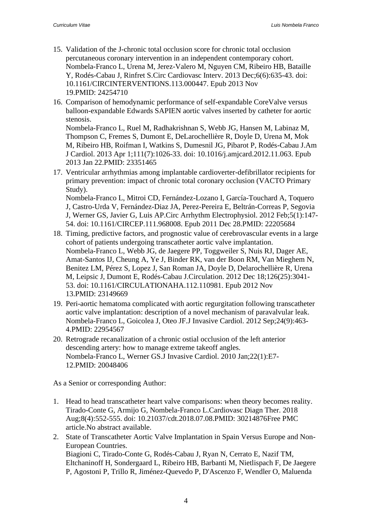- 15. [Validation of the J-chronic total occlusion score for chronic total occlusion](https://pubmed.ncbi.nlm.nih.gov/24254710/)  [percutaneous coronary intervention in an independent contemporary cohort.](https://pubmed.ncbi.nlm.nih.gov/24254710/) Nombela-Franco L, Urena M, Jerez-Valero M, Nguyen CM, Ribeiro HB, Bataille Y, Rodés-Cabau J, Rinfret S.Circ Cardiovasc Interv. 2013 Dec;6(6):635-43. doi: 10.1161/CIRCINTERVENTIONS.113.000447. Epub 2013 Nov 19.PMID: 24254710
- 16. [Comparison of hemodynamic performance of self-expandable CoreValve versus](https://pubmed.ncbi.nlm.nih.gov/23351465/)  [balloon-expandable Edwards SAPIEN aortic valves inserted by catheter for aortic](https://pubmed.ncbi.nlm.nih.gov/23351465/)  [stenosis.](https://pubmed.ncbi.nlm.nih.gov/23351465/)

Nombela-Franco L, Ruel M, Radhakrishnan S, Webb JG, Hansen M, Labinaz M, Thompson C, Fremes S, Dumont E, DeLarochellière R, Doyle D, Urena M, Mok M, Ribeiro HB, Roifman I, Watkins S, Dumesnil JG, Pibarot P, Rodés-Cabau J.Am J Cardiol. 2013 Apr 1;111(7):1026-33. doi: 10.1016/j.amjcard.2012.11.063. Epub 2013 Jan 22.PMID: 23351465

17. [Ventricular arrhythmias among implantable cardioverter-defibrillator recipients for](https://pubmed.ncbi.nlm.nih.gov/22205684/)  [primary prevention: impact of chronic total coronary occlusion \(VACTO Primary](https://pubmed.ncbi.nlm.nih.gov/22205684/)  [Study\).](https://pubmed.ncbi.nlm.nih.gov/22205684/)

Nombela-Franco L, Mitroi CD, Fernández-Lozano I, García-Touchard A, Toquero J, Castro-Urda V, Fernández-Diaz JA, Perez-Pereira E, Beltrán-Correas P, Segovia J, Werner GS, Javier G, Luis AP.Circ Arrhythm Electrophysiol. 2012 Feb;5(1):147- 54. doi: 10.1161/CIRCEP.111.968008. Epub 2011 Dec 28.PMID: 22205684

- 18. [Timing, predictive factors, and prognostic value of cerebrovascular events in a large](https://pubmed.ncbi.nlm.nih.gov/23149669/)  [cohort of patients undergoing transcatheter aortic valve implantation.](https://pubmed.ncbi.nlm.nih.gov/23149669/) Nombela-Franco L, Webb JG, de Jaegere PP, Toggweiler S, Nuis RJ, Dager AE, Amat-Santos IJ, Cheung A, Ye J, Binder RK, van der Boon RM, Van Mieghem N, Benitez LM, Pérez S, Lopez J, San Roman JA, Doyle D, Delarochellière R, Urena M, Leipsic J, Dumont E, Rodés-Cabau J.Circulation. 2012 Dec 18;126(25):3041- 53. doi: 10.1161/CIRCULATIONAHA.112.110981. Epub 2012 Nov 13.PMID: 23149669
- 19. [Peri-aortic hematoma complicated with aortic regurgitation following transcatheter](https://pubmed.ncbi.nlm.nih.gov/22954567/)  [aortic valve implantation: description of a novel mechanism of paravalvular leak.](https://pubmed.ncbi.nlm.nih.gov/22954567/) Nombela-Franco L, Goicolea J, Oteo JF.J Invasive Cardiol. 2012 Sep;24(9):463- 4.PMID: 22954567
- 20. [Retrograde recanalization of a chronic ostial occlusion of the left anterior](https://pubmed.ncbi.nlm.nih.gov/20048406/)  [descending artery: how to manage extreme takeoff angles.](https://pubmed.ncbi.nlm.nih.gov/20048406/) Nombela-Franco L, Werner GS.J Invasive Cardiol. 2010 Jan;22(1):E7- 12.PMID: 20048406

As a Senior or corresponding Author:

- 1. [Head to head transcatheter heart valve comparisons: when theory becomes reality.](https://pubmed.ncbi.nlm.nih.gov/30214876/) Tirado-Conte G, Armijo G, Nombela-Franco L.Cardiovasc Diagn Ther. 2018 Aug;8(4):552-555. doi: 10.21037/cdt.2018.07.08.PMID: 30214876Free PMC article.No abstract available.
- 2. [State of Transcatheter Aortic Valve Implantation in Spain Versus Europe and Non-](https://pubmed.ncbi.nlm.nih.gov/30068785/)[European Countries.](https://pubmed.ncbi.nlm.nih.gov/30068785/) Biagioni C, Tirado-Conte G, Rodés-Cabau J, Ryan N, Cerrato E, Nazif TM, Eltchaninoff H, Sondergaard L, Ribeiro HB, Barbanti M, Nietlispach F, De Jaegere P, Agostoni P, Trillo R, Jiménez-Quevedo P, D'Ascenzo F, Wendler O, Maluenda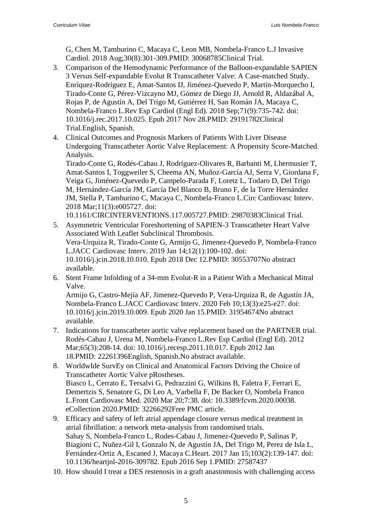G, Chen M, Tamburino C, Macaya C, Leon MB, Nombela-Franco L.J Invasive Cardiol. 2018 Aug;30(8):301-309.PMID: 30068785Clinical Trial.

- 3. [Comparison of the Hemodynamic Performance of the Balloon-expandable SAPIEN](https://pubmed.ncbi.nlm.nih.gov/29191782/)  [3 Versus Self-expandable Evolut R Transcatheter Valve: A Case-matched Study.](https://pubmed.ncbi.nlm.nih.gov/29191782/) Enríquez-Rodríguez E, Amat-Santos IJ, Jiménez-Quevedo P, Martín-Morquecho I, Tirado-Conte G, Pérez-Vizcayno MJ, Gómez de Diego JJ, Arnold R, Aldazábal A, Rojas P, de Agustín A, Del Trigo M, Gutiérrez H, San Román JA, Macaya C, Nombela-Franco L.Rev Esp Cardiol (Engl Ed). 2018 Sep;71(9):735-742. doi: 10.1016/j.rec.2017.10.025. Epub 2017 Nov 28.PMID: 29191782Clinical Trial.English, Spanish.
- 4. [Clinical Outcomes and Prognosis Markers of Patients With Liver Disease](https://pubmed.ncbi.nlm.nih.gov/29870383/)  [Undergoing Transcatheter Aortic Valve Replacement: A Propensity Score-Matched](https://pubmed.ncbi.nlm.nih.gov/29870383/)  [Analysis.](https://pubmed.ncbi.nlm.nih.gov/29870383/)

Tirado-Conte G, Rodés-Cabau J, Rodríguez-Olivares R, Barbanti M, Lhermusier T, Amat-Santos I, Toggweiler S, Cheema AN, Muñoz-García AJ, Serra V, Giordana F, Veiga G, Jiménez-Quevedo P, Campelo-Parada F, Loretz L, Todaro D, Del Trigo M, Hernández-García JM, García Del Blanco B, Bruno F, de la Torre Hernández JM, Stella P, Tamburino C, Macaya C, Nombela-Franco L.Circ Cardiovasc Interv. 2018 Mar;11(3):e005727. doi:

10.1161/CIRCINTERVENTIONS.117.005727.PMID: 29870383Clinical Trial.

- 5. [Asymmetric Ventricular Foreshortening of SAPIEN-3 Transcatheter Heart Valve](https://pubmed.ncbi.nlm.nih.gov/30553707/)  [Associated With Leaflet Subclinical](https://pubmed.ncbi.nlm.nih.gov/30553707/) Thrombosis. Vera-Urquiza R, Tirado-Conte G, Armijo G, Jimenez-Quevedo P, Nombela-Franco L.JACC Cardiovasc Interv. 2019 Jan 14;12(1):100-102. doi: 10.1016/j.jcin.2018.10.010. Epub 2018 Dec 12.PMID: 30553707No abstract available.
- 6. Stent Frame Infolding of a 34-mm [Evolut-R in a Patient With a Mechanical](https://pubmed.ncbi.nlm.nih.gov/31954674/) Mitral [Valve.](https://pubmed.ncbi.nlm.nih.gov/31954674/)

Armijo G, Castro-Mejía AF, Jimenez-Quevedo P, Vera-Urquiza R, de Agustín JA, Nombela-Franco L.JACC Cardiovasc Interv. 2020 Feb 10;13(3):e25-e27. doi: 10.1016/j.jcin.2019.10.009. Epub 2020 Jan 15.PMID: 31954674No abstract available.

- 7. [Indications for transcatheter aortic valve replacement based on the PARTNER trial.](https://pubmed.ncbi.nlm.nih.gov/22261396/) Rodés-Cabau J, Urena M, Nombela-Franco L.Rev Esp Cardiol (Engl Ed). 2012 Mar;65(3):208-14. doi: 10.1016/j.recesp.2011.10.017. Epub 2012 Jan 18.PMID: 22261396English, Spanish.No abstract available.
- 8. [WorldwIde SurvEy on Clinical and Anatomical Factors](https://pubmed.ncbi.nlm.nih.gov/32266292/) Driving the Choice of [Transcatheter Aortic Valve pRostheses.](https://pubmed.ncbi.nlm.nih.gov/32266292/) Biasco L, Cerrato E, Tersalvi G, Pedrazzini G, Wilkins B, Faletra F, Ferrari E, Demertzis S, Senatore G, Di Leo A, Varbella F, De Backer O, Nombela Franco L.Front Cardiovasc Med. 2020 Mar 20;7:38. doi: 10.3389/fcvm.2020.00038. eCollection 2020.PMID: 32266292Free PMC article.
- 9. [Efficacy and safety of left atrial appendage closure versus medical treatment in](https://pubmed.ncbi.nlm.nih.gov/27587437/)  [atrial fibrillation: a network meta-analysis from randomised trials.](https://pubmed.ncbi.nlm.nih.gov/27587437/) Sahay S, Nombela-Franco L, Rodes-Cabau J, Jimenez-Quevedo P, Salinas P, Biagioni C, Nuñez-Gil I, Gonzalo N, de Agustín JA, Del Trigo M, Perez de Isla L, Fernández-Ortiz A, Escaned J, Macaya C.Heart. 2017 Jan 15;103(2):139-147. doi: 10.1136/heartjnl-2016-309782. Epub 2016 Sep 1.PMID: 27587437
- 10. [How should I treat a DES restenosis in a graft anastomosis with challenging access](https://pubmed.ncbi.nlm.nih.gov/27107319/)